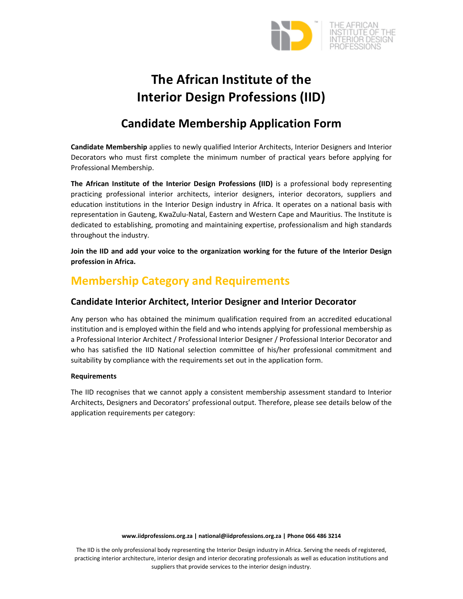

# **The African Institute of the Interior Design Professions (IID)**

# **Candidate Membership Application Form**

**Candidate Membership** applies to newly qualified Interior Architects, Interior Designers and Interior Decorators who must first complete the minimum number of practical years before applying for Professional Membership.

**The African Institute of the Interior Design Professions (IID)** is a professional body representing practicing professional interior architects, interior designers, interior decorators, suppliers and education institutions in the Interior Design industry in Africa. It operates on a national basis with representation in Gauteng, KwaZulu‐Natal, Eastern and Western Cape and Mauritius. The Institute is dedicated to establishing, promoting and maintaining expertise, professionalism and high standards throughout the industry.

**Join the IID and add your voice to the organization working for the future of the Interior Design profession in Africa.**

# **Membership Category and Requirements**

## **Candidate Interior Architect, Interior Designer and Interior Decorator**

Any person who has obtained the minimum qualification required from an accredited educational institution and is employed within the field and who intends applying for professional membership as a Professional Interior Architect / Professional Interior Designer / Professional Interior Decorator and who has satisfied the IID National selection committee of his/her professional commitment and suitability by compliance with the requirements set out in the application form.

## **Requirements**

The IID recognises that we cannot apply a consistent membership assessment standard to Interior Architects, Designers and Decorators' professional output. Therefore, please see details below of the application requirements per category:

The IID is the only professional body representing the Interior Design industry in Africa. Serving the needs of registered, practicing interior architecture, interior design and interior decorating professionals as well as education institutions and suppliers that provide services to the interior design industry.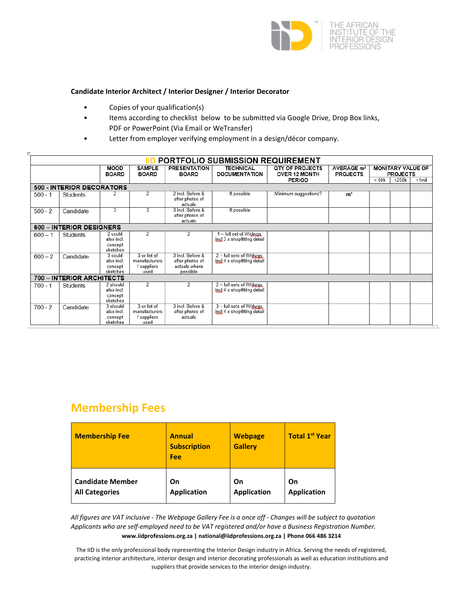

### **Candidate Interior Architect / Interior Designer / Interior Decorator**

• Copies of your qualification(s)

 $\mathbb{P}^1$ 

- Items according to checklist below to be submitted via Google Drive, Drop Box links, PDF or PowerPoint (Via Email or WeTransfer)
- Letter from employer verifying employment in a design/décor company.

| PORTFOLIO SUBMISSION REQUIREMENT |                           |                                               |                                                      |                                                                  |                                                         |                                         |                                           |                                             |             |           |
|----------------------------------|---------------------------|-----------------------------------------------|------------------------------------------------------|------------------------------------------------------------------|---------------------------------------------------------|-----------------------------------------|-------------------------------------------|---------------------------------------------|-------------|-----------|
|                                  |                           | <b>MOOD</b><br><b>BOARD</b>                   | <b>SAMPLE</b><br><b>BOARD</b>                        | <b>PRESENTATION</b><br><b>BOARD</b>                              | <b>TECHNICAL</b><br><b>DOCUMENTATION</b>                | <b>QTY OF PROJECTS</b><br>OVER 12 MONTH | AVERAGE m <sup>2</sup><br><b>PROJECTS</b> | <b>MONITARY VALUE OF</b><br><b>PROJECTS</b> |             |           |
|                                  |                           |                                               |                                                      |                                                                  |                                                         | <b>PERIOD</b>                           |                                           | > 50k                                       | $<$ 250 $k$ | $< 1$ mil |
|                                  | 500 - INTERIOR DECORATORS |                                               |                                                      |                                                                  |                                                         |                                         |                                           |                                             |             |           |
| $500 - 1$                        | Students                  |                                               | $\overline{2}$                                       | 2 incl. Before &<br>after photos of<br>actuals                   | If possible                                             | Minimum suggestions?                    | m <sup>2</sup>                            |                                             |             |           |
| $500 - 2$                        | Candidate                 | 3                                             | $\overline{3}$                                       | 3 incl. Before &<br>after photos of<br>actuals                   | If possible                                             |                                         |                                           |                                             |             |           |
|                                  | 600 - INTERIOR DESIGNERS  |                                               |                                                      |                                                                  |                                                         |                                         |                                           |                                             |             |           |
| $600 - 1$                        | Students                  | 2 could<br>also incl.<br>concept<br>sketches  | 2                                                    | 2                                                                | - full set of W/gwgs,<br>incl 3 x shopfitting detail    |                                         |                                           |                                             |             |           |
| $600 - 2$                        | Candidate                 | 3 could<br>also incl.<br>concept<br>sketches  | 3 or list of<br>manufacturers<br>suppliers<br>used   | 3 incl. Before &<br>after photos of<br>actuals where<br>possible | 2 - full sets of W/dwgs,<br>incl 4 x shopfitting detail |                                         |                                           |                                             |             |           |
|                                  | 700 - INTERIOR ARCHITECTS |                                               |                                                      |                                                                  |                                                         |                                         |                                           |                                             |             |           |
| $700 - 1$                        | Students                  | 2 should<br>also incl.<br>concept<br>sketches | 2                                                    | 2                                                                | 2 - full sets of W/dwgs.<br>incl 4 x shopfitting detail |                                         |                                           |                                             |             |           |
| $700 - 2$                        | Candidate                 | 3 should<br>also incl.<br>concept<br>sketches | 3 or list of<br>manufacturers<br>suppliers /<br>used | 3 incl. Before &<br>after photos of<br>actuals                   | 3 - full sets of W/dwgs.<br>incl 4 x shopfitting detail |                                         |                                           |                                             |             |           |

## **Membership Fees**

| <b>Membership Fee</b>   | <b>Annual</b><br><b>Subscription</b><br>Fee | <b>Webpage</b><br><b>Gallery</b> | <b>Total 1st Year</b> |
|-------------------------|---------------------------------------------|----------------------------------|-----------------------|
| <b>Candidate Member</b> | On                                          | On                               | On                    |
| <b>All Categories</b>   | <b>Application</b>                          | <b>Application</b>               | <b>Application</b>    |

**www.iidprofessions.org.za | national@iidprofessions.org.za | Phone 066 486 3214** All figures are VAT inclusive - The Webpage Gallery Fee is a once off - Changes will be subject to quotation *Applicants who are self‐employed need to be VAT registered and/or have a Business Registration Number.*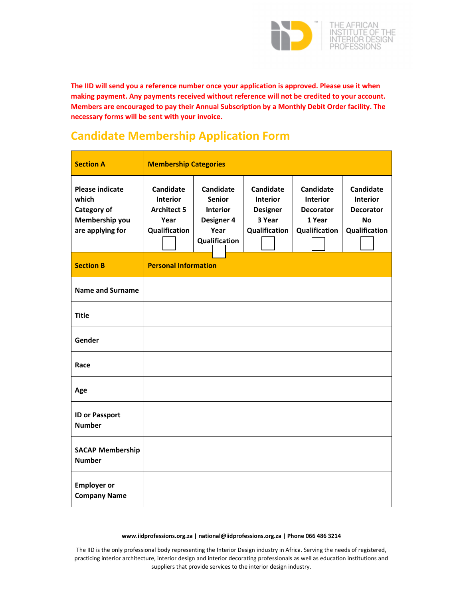

**The IID will send you a reference number once your application is approved. Please use it when making payment. Any payments received without reference will not be credited to your account. Members are encouraged to pay their Annual Subscription by a Monthly Debit Order facility. The necessary forms will be sent with your invoice.**

# **Candidate Membership Application Form**

| <b>Section A</b>                                                                     | <b>Membership Categories</b>                                                |                                                                                             |                                                                            |                                                                             |                                                                                |
|--------------------------------------------------------------------------------------|-----------------------------------------------------------------------------|---------------------------------------------------------------------------------------------|----------------------------------------------------------------------------|-----------------------------------------------------------------------------|--------------------------------------------------------------------------------|
| <b>Please indicate</b><br>which<br>Category of<br>Membership you<br>are applying for | Candidate<br><b>Interior</b><br><b>Architect 5</b><br>Year<br>Qualification | <b>Candidate</b><br><b>Senior</b><br><b>Interior</b><br>Designer 4<br>Year<br>Qualification | Candidate<br><b>Interior</b><br><b>Designer</b><br>3 Year<br>Qualification | Candidate<br><b>Interior</b><br><b>Decorator</b><br>1 Year<br>Qualification | Candidate<br><b>Interior</b><br><b>Decorator</b><br><b>No</b><br>Qualification |
| <b>Section B</b>                                                                     | <b>Personal Information</b>                                                 |                                                                                             |                                                                            |                                                                             |                                                                                |
| <b>Name and Surname</b>                                                              |                                                                             |                                                                                             |                                                                            |                                                                             |                                                                                |
| <b>Title</b>                                                                         |                                                                             |                                                                                             |                                                                            |                                                                             |                                                                                |
| Gender                                                                               |                                                                             |                                                                                             |                                                                            |                                                                             |                                                                                |
| Race                                                                                 |                                                                             |                                                                                             |                                                                            |                                                                             |                                                                                |
| Age                                                                                  |                                                                             |                                                                                             |                                                                            |                                                                             |                                                                                |
| <b>ID or Passport</b><br><b>Number</b>                                               |                                                                             |                                                                                             |                                                                            |                                                                             |                                                                                |
| <b>SACAP Membership</b><br><b>Number</b>                                             |                                                                             |                                                                                             |                                                                            |                                                                             |                                                                                |
| <b>Employer or</b><br><b>Company Name</b>                                            |                                                                             |                                                                                             |                                                                            |                                                                             |                                                                                |

#### **www.iidprofessions.org.za | national@iidprofessions.org.za | Phone 066 486 3214**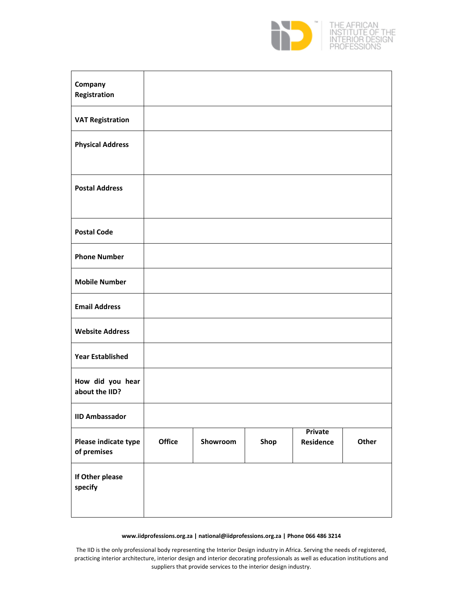

| Company<br>Registration             |        |          |      |                             |       |
|-------------------------------------|--------|----------|------|-----------------------------|-------|
| <b>VAT Registration</b>             |        |          |      |                             |       |
| <b>Physical Address</b>             |        |          |      |                             |       |
| <b>Postal Address</b>               |        |          |      |                             |       |
| <b>Postal Code</b>                  |        |          |      |                             |       |
| <b>Phone Number</b>                 |        |          |      |                             |       |
| <b>Mobile Number</b>                |        |          |      |                             |       |
| <b>Email Address</b>                |        |          |      |                             |       |
| <b>Website Address</b>              |        |          |      |                             |       |
| <b>Year Established</b>             |        |          |      |                             |       |
| How did you hear<br>about the IID?  |        |          |      |                             |       |
| <b>IID Ambassador</b>               |        |          |      |                             |       |
| Please indicate type<br>of premises | Office | Showroom | Shop | <b>Private</b><br>Residence | Other |
| If Other please<br>specify          |        |          |      |                             |       |

#### **www.iidprofessions.org.za | national@iidprofessions.org.za | Phone 066 486 3214**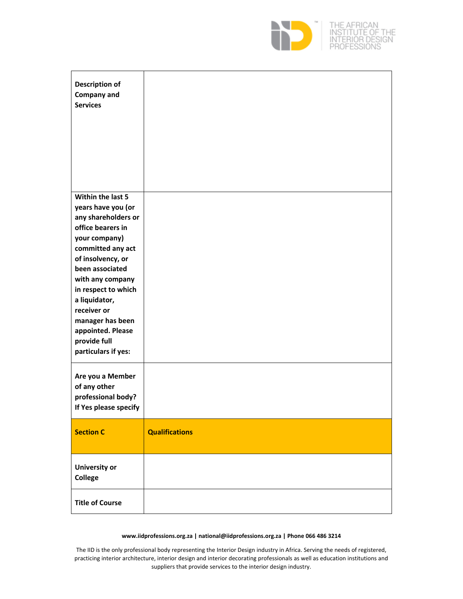

| <b>Description of</b><br><b>Company and</b><br><b>Services</b>                                                                                                                                                                                                   |                       |
|------------------------------------------------------------------------------------------------------------------------------------------------------------------------------------------------------------------------------------------------------------------|-----------------------|
| Within the last 5<br>years have you (or<br>any shareholders or<br>office bearers in<br>your company)<br>committed any act<br>of insolvency, or<br>been associated<br>with any company<br>in respect to which<br>a liquidator,<br>receiver or<br>manager has been |                       |
| appointed. Please<br>provide full<br>particulars if yes:                                                                                                                                                                                                         |                       |
| Are you a Member<br>of any other<br>professional body?<br>If Yes please specify                                                                                                                                                                                  |                       |
| <b>Section C</b>                                                                                                                                                                                                                                                 | <b>Qualifications</b> |
| <b>University or</b><br>College                                                                                                                                                                                                                                  |                       |
| <b>Title of Course</b>                                                                                                                                                                                                                                           |                       |

#### **www.iidprofessions.org.za | national@iidprofessions.org.za | Phone 066 486 3214**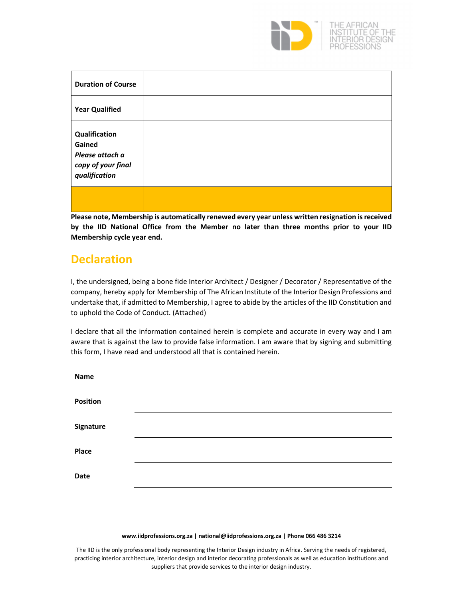

OF THE<br>JESIGN

| <b>Duration of Course</b>                                                         |  |
|-----------------------------------------------------------------------------------|--|
| <b>Year Qualified</b>                                                             |  |
| Qualification<br>Gained<br>Please attach a<br>copy of your final<br>qualification |  |
|                                                                                   |  |

**Please note, Membership is automatically renewed every year unless written resignation isreceived by the IID National Office from the Member no later than three months prior to your IID Membership cycle year end.**

## **Declaration**

I, the undersigned, being a bone fide Interior Architect / Designer / Decorator / Representative of the company, hereby apply for Membership of The African Institute of the Interior Design Professions and undertake that, if admitted to Membership, I agree to abide by the articles of the IID Constitution and to uphold the Code of Conduct. (Attached)

I declare that all the information contained herein is complete and accurate in every way and I am aware that is against the law to provide false information. I am aware that by signing and submitting this form, I have read and understood all that is contained herein.

| <b>Name</b>     |  |
|-----------------|--|
| <b>Position</b> |  |
| Signature       |  |
| Place           |  |
| Date            |  |
|                 |  |

#### **www.iidprofessions.org.za | national@iidprofessions.org.za | Phone 066 486 3214**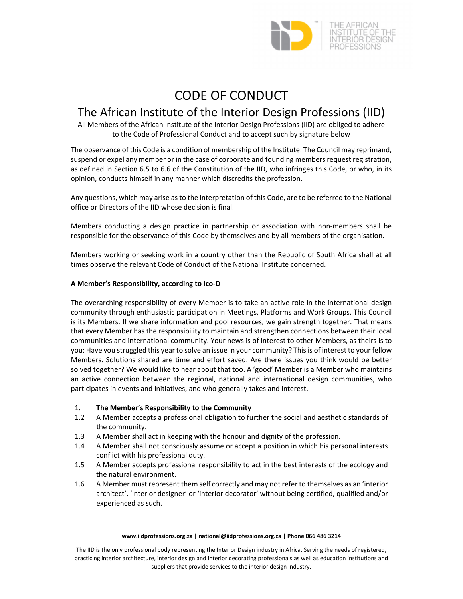

# CODE OF CONDUCT

## The African Institute of the Interior Design Professions (IID)

All Members of the African Institute of the Interior Design Professions (IID) are obliged to adhere to the Code of Professional Conduct and to accept such by signature below

The observance of this Code is a condition of membership of the Institute. The Council may reprimand, suspend or expel any member or in the case of corporate and founding members request registration, as defined in Section 6.5 to 6.6 of the Constitution of the IID, who infringes this Code, or who, in its opinion, conducts himself in any manner which discredits the profession.

Any questions, which may arise as to the interpretation of this Code, are to be referred to the National office or Directors of the IID whose decision is final.

Members conducting a design practice in partnership or association with non-members shall be responsible for the observance of this Code by themselves and by all members of the organisation.

Members working or seeking work in a country other than the Republic of South Africa shall at all times observe the relevant Code of Conduct of the National Institute concerned.

## **A Member's Responsibility, according to Ico‐D**

The overarching responsibility of every Member is to take an active role in the international design community through enthusiastic participation in Meetings, Platforms and Work Groups. This Council is its Members. If we share information and pool resources, we gain strength together. That means that every Member has the responsibility to maintain and strengthen connections between their local communities and international community. Your news is of interest to other Members, as theirs is to you: Have you struggled this year to solve an issue in your community? Thisis of interest to your fellow Members. Solutions shared are time and effort saved. Are there issues you think would be better solved together? We would like to hear about that too. A 'good' Member is a Member who maintains an active connection between the regional, national and international design communities, who participates in events and initiatives, and who generally takes and interest.

- 1. **The Member's Responsibility to the Community**
- 1.2 A Member accepts a professional obligation to further the social and aesthetic standards of the community.
- 1.3 A Member shall act in keeping with the honour and dignity of the profession.
- 1.4 A Member shall not consciously assume or accept a position in which his personal interests conflict with his professional duty.
- 1.5 A Member accepts professional responsibility to act in the best interests of the ecology and the natural environment.
- 1.6 A Member must represent them self correctly and may not refer to themselves as an 'interior architect', 'interior designer' or 'interior decorator' without being certified, qualified and/or experienced as such.

#### **www.iidprofessions.org.za | national@iidprofessions.org.za | Phone 066 486 3214**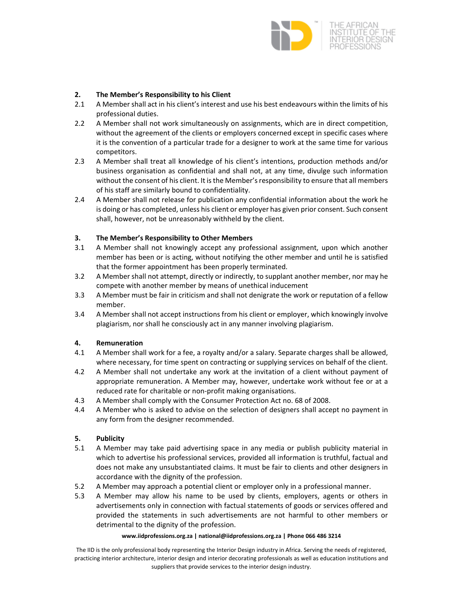

## **2. The Member's Responsibility to his Client**

- 2.1 A Member shall act in his client's interest and use his best endeavours within the limits of his professional duties.
- 2.2 A Member shall not work simultaneously on assignments, which are in direct competition, without the agreement of the clients or employers concerned except in specific cases where it is the convention of a particular trade for a designer to work at the same time for various competitors.
- 2.3 A Member shall treat all knowledge of his client's intentions, production methods and/or business organisation as confidential and shall not, at any time, divulge such information without the consent of his client. It is the Member's responsibility to ensure that all members of his staff are similarly bound to confidentiality.
- 2.4 A Member shall not release for publication any confidential information about the work he is doing or has completed, unless his client or employer has given prior consent. Such consent shall, however, not be unreasonably withheld by the client.

## **3. The Member's Responsibility to Other Members**

- 3.1 A Member shall not knowingly accept any professional assignment, upon which another member has been or is acting, without notifying the other member and until he is satisfied that the former appointment has been properly terminated.
- 3.2 A Member shall not attempt, directly or indirectly, to supplant another member, nor may he compete with another member by means of unethical inducement
- 3.3 A Member must be fair in criticism and shall not denigrate the work or reputation of a fellow member.
- 3.4 A Member shall not accept instructions from his client or employer, which knowingly involve plagiarism, nor shall he consciously act in any manner involving plagiarism.

## **4. Remuneration**

- 4.1 A Member shall work for a fee, a royalty and/or a salary. Separate charges shall be allowed, where necessary, for time spent on contracting or supplying services on behalf of the client.
- 4.2 A Member shall not undertake any work at the invitation of a client without payment of appropriate remuneration. A Member may, however, undertake work without fee or at a reduced rate for charitable or non‐profit making organisations.
- 4.3 A Member shall comply with the Consumer Protection Act no. 68 of 2008.
- 4.4 A Member who is asked to advise on the selection of designers shall accept no payment in any form from the designer recommended.

## **5. Publicity**

- 5.1 A Member may take paid advertising space in any media or publish publicity material in which to advertise his professional services, provided all information is truthful, factual and does not make any unsubstantiated claims. It must be fair to clients and other designers in accordance with the dignity of the profession.
- 5.2 A Member may approach a potential client or employer only in a professional manner.
- 5.3 A Member may allow his name to be used by clients, employers, agents or others in advertisements only in connection with factual statements of goods or services offered and provided the statements in such advertisements are not harmful to other members or detrimental to the dignity of the profession.

#### **www.iidprofessions.org.za | national@iidprofessions.org.za | Phone 066 486 3214**